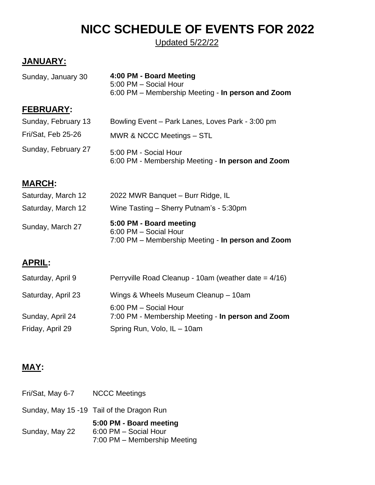# **NICC SCHEDULE OF EVENTS FOR 2022**

Updated 5/22/22

# **JANUARY:**

| Sunday, January 30  | 4:00 PM - Board Meeting<br>5:00 PM - Social Hour<br>6:00 PM – Membership Meeting - In person and Zoom |
|---------------------|-------------------------------------------------------------------------------------------------------|
| <b>FEBRUARY:</b>    |                                                                                                       |
| Sunday, February 13 | Bowling Event – Park Lanes, Loves Park - 3:00 pm                                                      |
| Fri/Sat, Feb 25-26  | MWR & NCCC Meetings - STL                                                                             |
| Sunday, February 27 | 5:00 PM - Social Hour<br>6:00 PM - Membership Meeting - In person and Zoom                            |
| <b>MARCH:</b>       |                                                                                                       |

| Sunday, March 27   | 5:00 PM - Board meeting<br>6:00 PM - Social Hour<br>7:00 PM – Membership Meeting - In person and Zoom |
|--------------------|-------------------------------------------------------------------------------------------------------|
| Saturday, March 12 | Wine Tasting – Sherry Putnam's - 5:30pm                                                               |
| Saturday, March 12 | 2022 MWR Banquet - Burr Ridge, IL                                                                     |

# **APRIL:**

| Saturday, April 9  | Perryville Road Cleanup - 10am (weather date $= 4/16$ )                    |
|--------------------|----------------------------------------------------------------------------|
| Saturday, April 23 | Wings & Wheels Museum Cleanup - 10am                                       |
| Sunday, April 24   | 6:00 PM - Social Hour<br>7:00 PM - Membership Meeting - In person and Zoom |
| Friday, April 29   | Spring Run, Volo, IL - 10am                                                |
|                    |                                                                            |

# **MAY:**

| Fri/Sat, May 6-7 | <b>NCCC Meetings</b>                                                             |
|------------------|----------------------------------------------------------------------------------|
|                  | Sunday, May 15 -19 Tail of the Dragon Run                                        |
| Sunday, May 22   | 5:00 PM - Board meeting<br>6:00 PM - Social Hour<br>7:00 PM - Membership Meeting |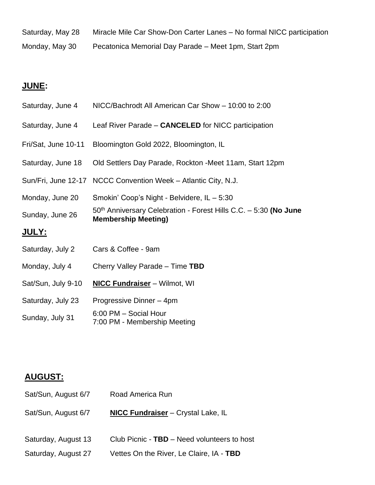Saturday, May 28 Miracle Mile Car Show-Don Carter Lanes – No formal NICC participation Monday, May 30 Pecatonica Memorial Day Parade – Meet 1pm, Start 2pm

# **JUNE:**

| Saturday, June 4    | NICC/Bachrodt All American Car Show - 10:00 to 2:00                                              |
|---------------------|--------------------------------------------------------------------------------------------------|
| Saturday, June 4    | Leaf River Parade - CANCELED for NICC participation                                              |
| Fri/Sat, June 10-11 | Bloomington Gold 2022, Bloomington, IL                                                           |
| Saturday, June 18   | Old Settlers Day Parade, Rockton - Meet 11am, Start 12pm                                         |
| Sun/Fri, June 12-17 | NCCC Convention Week - Atlantic City, N.J.                                                       |
| Monday, June 20     | Smokin' Coop's Night - Belvidere, IL - 5:30                                                      |
| Sunday, June 26     | $50th$ Anniversary Celebration - Forest Hills C.C. - 5:30 (No June<br><b>Membership Meeting)</b> |
| <u> JULY:</u>       |                                                                                                  |
| Saturday, July 2    | Cars & Coffee - 9am                                                                              |
| Monday, July 4      | Cherry Valley Parade - Time TBD                                                                  |
| Sat/Sun, July 9-10  | <b>NICC Fundraiser</b> - Wilmot, WI                                                              |
| Saturday, July 23   | Progressive Dinner - 4pm                                                                         |
| Sunday, July 31     | 6:00 PM - Social Hour<br>7:00 PM - Membership Meeting                                            |

# **AUGUST:**

| Sat/Sun, August 6/7 | Road America Run                            |
|---------------------|---------------------------------------------|
| Sat/Sun, August 6/7 | <b>NICC Fundraiser</b> – Crystal Lake, IL   |
| Saturday, August 13 | Club Picnic - TBD - Need volunteers to host |
| Saturday, August 27 | Vettes On the River, Le Claire, IA - TBD    |
|                     |                                             |